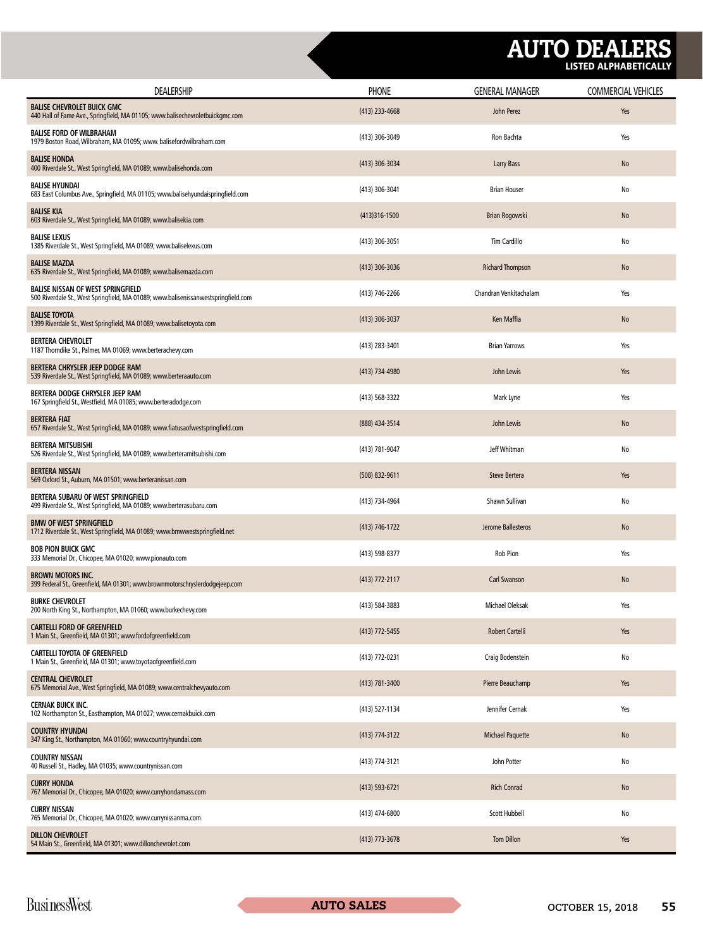## AUTO DEALERS

LISTED ALPHABETICALLY

| <b>DEALERSHIP</b>                                                                                                              | PHONE            | <b>GENERAL MANAGER</b>  | <b>COMMERCIAL VEHICLES</b> |
|--------------------------------------------------------------------------------------------------------------------------------|------------------|-------------------------|----------------------------|
| <b>BALISE CHEVROLET BUICK GMC</b><br>440 Hall of Fame Ave., Springfield, MA 01105; www.balisechevroletbuickgmc.com             | (413) 233-4668   | John Perez              | Yes                        |
| <b>BALISE FORD OF WILBRAHAM</b><br>1979 Boston Road, Wilbraham, MA 01095; www. balisefordwilbraham.com                         | (413) 306-3049   | Ron Bachta              | Yes                        |
| <b>BALISE HONDA</b><br>400 Riverdale St., West Springfield, MA 01089; www.balisehonda.com                                      | (413) 306-3034   | Larry Bass              | No                         |
| <b>BALISE HYUNDAI</b><br>683 East Columbus Ave., Springfield, MA 01105; www.balisehyundaispringfield.com                       | (413) 306-3041   | <b>Brian Houser</b>     | No                         |
| <b>BALISE KIA</b><br>603 Riverdale St., West Springfield, MA 01089; www.balisekia.com                                          | $(413)316-1500$  | Brian Rogowski          | <b>No</b>                  |
| <b>BALISE LEXUS</b><br>1385 Riverdale St., West Springfield, MA 01089; www.baliselexus.com                                     | (413) 306-3051   | Tim Cardillo            | No                         |
| <b>BALISE MAZDA</b><br>635 Riverdale St., West Springfield, MA 01089; www.balisemazda.com                                      | (413) 306-3036   | <b>Richard Thompson</b> | <b>No</b>                  |
| <b>BALISE NISSAN OF WEST SPRINGFIELD</b><br>500 Riverdale St., West Springfield, MA 01089; www.balisenissanwestspringfield.com | (413) 746-2266   | Chandran Venkitachalam  | Yes                        |
| <b>BALISE TOYOTA</b><br>1399 Riverdale St., West Springfield, MA 01089; www.balisetoyota.com                                   | (413) 306-3037   | Ken Maffia              | No                         |
| <b>BERTERA CHEVROLET</b><br>1187 Thorndike St., Palmer, MA 01069; www.berterachevy.com                                         | (413) 283-3401   | <b>Brian Yarrows</b>    | Yes                        |
| BERTERA CHRYSLER JEEP DODGE RAM<br>539 Riverdale St., West Springfield, MA 01089; www.berteraauto.com                          | (413) 734-4980   | John Lewis              | Yes                        |
| BERTERA DODGE CHRYSLER JEEP RAM<br>167 Springfield St., Westfield, MA 01085; www.berteradodge.com                              | (413) 568-3322   | Mark Lyne               | Yes                        |
| <b>BERTERA FIAT</b><br>657 Riverdale St., West Springfield, MA 01089; www.fiatusaofwestspringfield.com                         | (888) 434-3514   | John Lewis              | No                         |
| <b>BERTERA MITSUBISHI</b><br>526 Riverdale St., West Springfield, MA 01089; www.berteramitsubishi.com                          | (413) 781-9047   | Jeff Whitman            | No                         |
| <b>BERTERA NISSAN</b><br>569 Oxford St., Auburn, MA 01501; www.berteranissan.com                                               | (508) 832-9611   | <b>Steve Bertera</b>    | Yes                        |
| BERTERA SUBARU OF WEST SPRINGFIELD<br>499 Riverdale St., West Springfield, MA 01089; www.berterasubaru.com                     | (413) 734-4964   | Shawn Sullivan          | No                         |
| <b>BMW OF WEST SPRINGFIELD</b><br>1712 Riverdale St., West Springfield, MA 01089; www.bmwwestspringfield.net                   | (413) 746-1722   | Jerome Ballesteros      | <b>No</b>                  |
| <b>BOB PION BUICK GMC</b><br>333 Memorial Dr., Chicopee, MA 01020; www.pionauto.com                                            | (413) 598-8377   | Rob Pion                | Yes                        |
| <b>BROWN MOTORS INC.</b><br>399 Federal St., Greenfield, MA 01301; www.brownmotorschryslerdodgejeep.com                        | (413) 772-2117   | <b>Carl Swanson</b>     | No                         |
| <b>BURKE CHEVROLET</b><br>200 North King St., Northampton, MA 01060; www.burkechevy.com                                        | (413) 584-3883   | Michael Oleksak         | Yes                        |
| <b>CARTELLI FORD OF GREENFIELD</b><br>1 Main St., Greenfield, MA 01301; www.fordofgreenfield.com                               | $(413)$ 772-5455 | <b>Robert Cartelli</b>  | Yes                        |
| <b>CARTELLI TOYOTA OF GREENFIELD</b><br>1 Main St., Greenfield, MA 01301; www.toyotaofgreenfield.com                           | (413) 772-0231   | Craig Bodenstein        | No                         |
| <b>CENTRAL CHEVROLET</b><br>675 Memorial Ave., West Springfield, MA 01089; www.centralchevyauto.com                            | (413) 781-3400   | Pierre Beauchamp        | Yes                        |
| <b>CERNAK BUICK INC.</b><br>102 Northampton St., Easthampton, MA 01027; www.cernakbuick.com                                    | (413) 527-1134   | Jennifer Cernak         | Yes                        |
| <b>COUNTRY HYUNDAI</b><br>347 King St., Northampton, MA 01060; www.countryhyundai.com                                          | (413) 774-3122   | <b>Michael Paquette</b> | No                         |
| <b>COUNTRY NISSAN</b><br>40 Russell St., Hadley, MA 01035; www.countrynissan.com                                               | (413) 774-3121   | John Potter             | No                         |
| <b>CURRY HONDA</b><br>767 Memorial Dr., Chicopee, MA 01020; www.curryhondamass.com                                             | (413) 593-6721   | <b>Rich Conrad</b>      | No                         |
| <b>CURRY NISSAN</b><br>765 Memorial Dr., Chicopee, MA 01020; www.currynissanma.com                                             | (413) 474-6800   | <b>Scott Hubbell</b>    | No                         |
| <b>DILLON CHEVROLET</b><br>54 Main St., Greenfield, MA 01301; www.dillonchevrolet.com                                          | $(413)$ 773-3678 | <b>Tom Dillon</b>       | Yes                        |